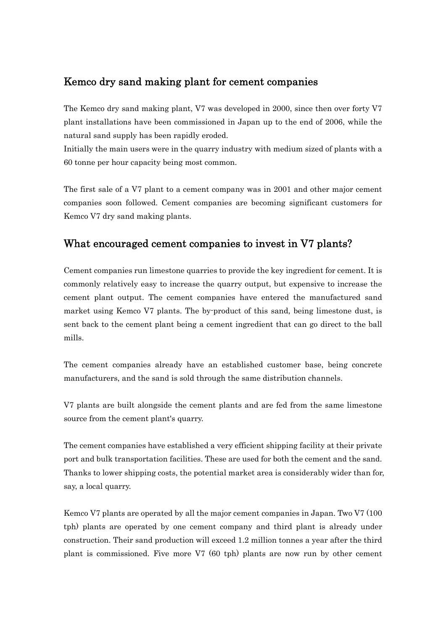## Kemco dry sand making plant for cement companies

The Kemco dry sand making plant, V7 was developed in 2000, since then over forty V7 plant installations have been commissioned in Japan up to the end of 2006, while the natural sand supply has been rapidly eroded.

Initially the main users were in the quarry industry with medium sized of plants with a 60 tonne per hour capacity being most common.

The first sale of a V7 plant to a cement company was in 2001 and other major cement companies soon followed. Cement companies are becoming significant customers for Kemco V7 dry sand making plants.

## What encouraged cement companies to invest in V7 plants?

Cement companies run limestone quarries to provide the key ingredient for cement. It is commonly relatively easy to increase the quarry output, but expensive to increase the cement plant output. The cement companies have entered the manufactured sand market using Kemco V7 plants. The by-product of this sand, being limestone dust, is sent back to the cement plant being a cement ingredient that can go direct to the ball mills.

The cement companies already have an established customer base, being concrete manufacturers, and the sand is sold through the same distribution channels.

V7 plants are built alongside the cement plants and are fed from the same limestone source from the cement plant's quarry.

The cement companies have established a very efficient shipping facility at their private port and bulk transportation facilities. These are used for both the cement and the sand. Thanks to lower shipping costs, the potential market area is considerably wider than for, say, a local quarry.

Kemco V7 plants are operated by all the major cement companies in Japan. Two V7 (100 tph) plants are operated by one cement company and third plant is already under construction. Their sand production will exceed 1.2 million tonnes a year after the third plant is commissioned. Five more V7 (60 tph) plants are now run by other cement